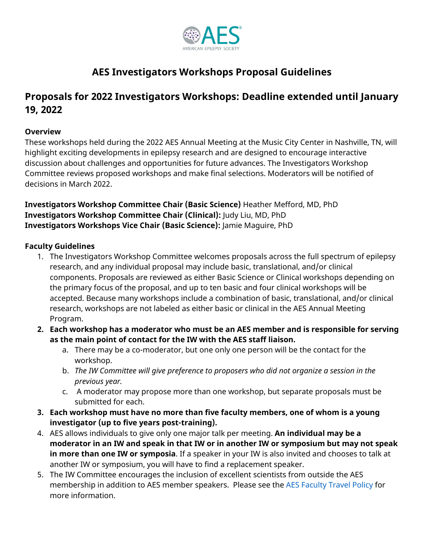

# **AES Investigators Workshops Proposal Guidelines**

## **Proposals for 2022 Investigators Workshops: Deadline extended until January 19, 2022**

#### **Overview**

These workshops held during the 2022 AES Annual Meeting at the Music City Center in Nashville, TN, will highlight exciting developments in epilepsy research and are designed to encourage interactive discussion about challenges and opportunities for future advances. The Investigators Workshop Committee reviews proposed workshops and make final selections. Moderators will be notified of decisions in March 2022.

**Investigators Workshop Committee Chair (Basic Science)** Heather Mefford, MD, PhD **Investigators Workshop Committee Chair (Clinical):** Judy Liu, MD, PhD **Investigators Workshops Vice Chair (Basic Science):** Jamie Maguire, PhD

#### **Faculty Guidelines**

- 1. The Investigators Workshop Committee welcomes proposals across the full spectrum of epilepsy research, and any individual proposal may include basic, translational, and/or clinical components. Proposals are reviewed as either Basic Science or Clinical workshops depending on the primary focus of the proposal, and up to ten basic and four clinical workshops will be accepted. Because many workshops include a combination of basic, translational, and/or clinical research, workshops are not labeled as either basic or clinical in the AES Annual Meeting Program.
- **2. Each workshop has a moderator who must be an AES member and is responsible for serving as the main point of contact for the IW with the AES staff liaison.**
	- a. There may be a co-moderator, but one only one person will be the contact for the workshop.
	- b. *The IW Committee will give preference to proposers who did not organize a session in the previous year.*
	- c. A moderator may propose more than one workshop, but separate proposals must be submitted for each.
- **3. Each workshop must have no more than five faculty members, one of whom is a young investigator (up to five years post-training).**
- 4. AES allows individuals to give only one major talk per meeting. **An individual may be a moderator in an IW and speak in that IW or in another IW or symposium but may not speak in more than one IW or symposia**. If a speaker in your IW is also invited and chooses to talk at another IW or symposium, you will have to find a replacement speaker.
- 5. The IW Committee encourages the inclusion of excellent scientists from outside the AES membership in addition to AES member speakers. Please see the [AES Faculty Travel Policy](https://documentcloud.adobe.com/link/track?uri=urn:aaid:scds:US:376cdb51-9521-48e3-99dd-19b9e3a33fbb) for more information.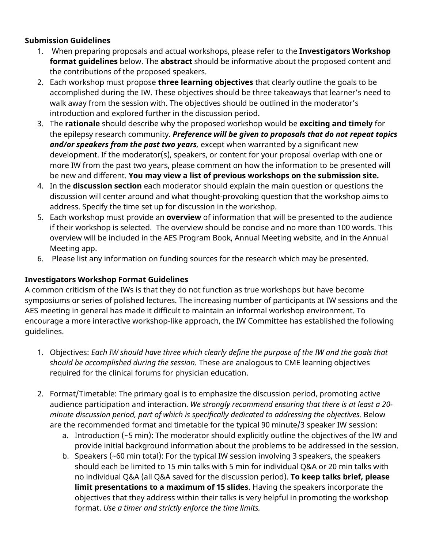#### **Submission Guidelines**

- 1. When preparing proposals and actual workshops, please refer to the **Investigators Workshop format guidelines** below. The **abstract** should be informative about the proposed content and the contributions of the proposed speakers.
- 2. Each workshop must propose **three learning objectives** that clearly outline the goals to be accomplished during the IW. These objectives should be three takeaways that learner's need to walk away from the session with. The objectives should be outlined in the moderator's introduction and explored further in the discussion period.
- 3. The **rationale** should describe why the proposed workshop would be **exciting and timely** for the epilepsy research community. *Preference will be given to proposals that do not repeat topics and/or speakers from the past two years,* except when warranted by a significant new development. If the moderator(s), speakers, or content for your proposal overlap with one or more IW from the past two years, please comment on how the information to be presented will be new and different. **You may view a list of previous workshops on the submission site.**
- 4. In the **discussion section** each moderator should explain the main question or questions the discussion will center around and what thought-provoking question that the workshop aims to address. Specify the time set up for discussion in the workshop.
- 5. Each workshop must provide an **overview** of information that will be presented to the audience if their workshop is selected. The overview should be concise and no more than 100 words. This overview will be included in the AES Program Book, Annual Meeting website, and in the Annual Meeting app.
- 6. Please list any information on funding sources for the research which may be presented.

### **Investigators Workshop Format Guidelines**

A common criticism of the IWs is that they do not function as true workshops but have become symposiums or series of polished lectures. The increasing number of participants at IW sessions and the AES meeting in general has made it difficult to maintain an informal workshop environment. To encourage a more interactive workshop-like approach, the IW Committee has established the following guidelines.

- 1. Objectives: *Each IW should have three which clearly define the purpose of the IW and the goals that should be accomplished during the session.* These are analogous to CME learning objectives required for the clinical forums for physician education.
- 2. Format/Timetable: The primary goal is to emphasize the discussion period, promoting active audience participation and interaction. *We strongly recommend ensuring that there is at least a 20 minute discussion period, part of which is specifically dedicated to addressing the objectives.* Below are the recommended format and timetable for the typical 90 minute/3 speaker IW session:
	- a. Introduction (~5 min): The moderator should explicitly outline the objectives of the IW and provide initial background information about the problems to be addressed in the session.
	- b. Speakers (~60 min total): For the typical IW session involving 3 speakers, the speakers should each be limited to 15 min talks with 5 min for individual Q&A or 20 min talks with no individual Q&A (all Q&A saved for the discussion period). **To keep talks brief, please limit presentations to a maximum of 15 slides**. Having the speakers incorporate the objectives that they address within their talks is very helpful in promoting the workshop format. *Use a timer and strictly enforce the time limits.*